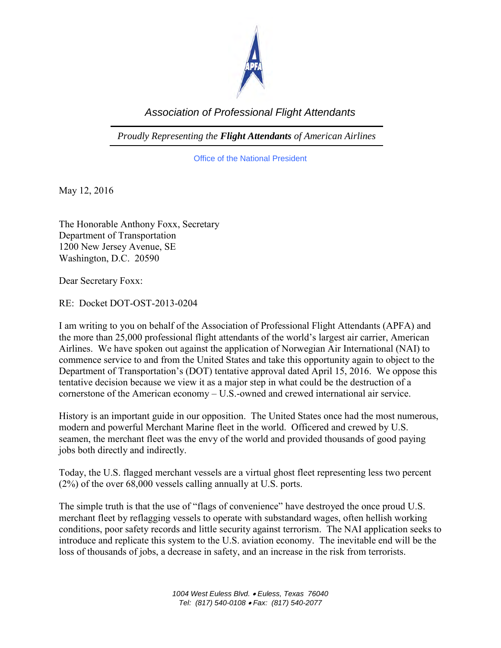

## *Association of Professional Flight Attendants*

*Proudly Representing the Flight Attendants of American Airlines*

Office of the National President

May 12, 2016

The Honorable Anthony Foxx, Secretary Department of Transportation 1200 New Jersey Avenue, SE Washington, D.C. 20590

Dear Secretary Foxx:

RE: Docket DOT-OST-2013-0204

I am writing to you on behalf of the Association of Professional Flight Attendants (APFA) and the more than 25,000 professional flight attendants of the world's largest air carrier, American Airlines. We have spoken out against the application of Norwegian Air International (NAI) to commence service to and from the United States and take this opportunity again to object to the Department of Transportation's (DOT) tentative approval dated April 15, 2016. We oppose this tentative decision because we view it as a major step in what could be the destruction of a cornerstone of the American economy – U.S.-owned and crewed international air service.

History is an important guide in our opposition. The United States once had the most numerous, modern and powerful Merchant Marine fleet in the world. Officered and crewed by U.S. seamen, the merchant fleet was the envy of the world and provided thousands of good paying jobs both directly and indirectly.

Today, the U.S. flagged merchant vessels are a virtual ghost fleet representing less two percent (2%) of the over 68,000 vessels calling annually at U.S. ports.

The simple truth is that the use of "flags of convenience" have destroyed the once proud U.S. merchant fleet by reflagging vessels to operate with substandard wages, often hellish working conditions, poor safety records and little security against terrorism. The NAI application seeks to introduce and replicate this system to the U.S. aviation economy. The inevitable end will be the loss of thousands of jobs, a decrease in safety, and an increase in the risk from terrorists.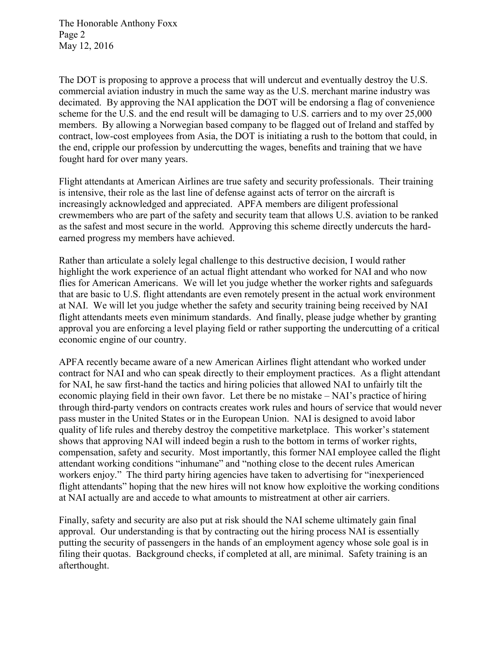The Honorable Anthony Foxx Page 2 May 12, 2016

The DOT is proposing to approve a process that will undercut and eventually destroy the U.S. commercial aviation industry in much the same way as the U.S. merchant marine industry was decimated. By approving the NAI application the DOT will be endorsing a flag of convenience scheme for the U.S. and the end result will be damaging to U.S. carriers and to my over 25,000 members. By allowing a Norwegian based company to be flagged out of Ireland and staffed by contract, low-cost employees from Asia, the DOT is initiating a rush to the bottom that could, in the end, cripple our profession by undercutting the wages, benefits and training that we have fought hard for over many years.

Flight attendants at American Airlines are true safety and security professionals. Their training is intensive, their role as the last line of defense against acts of terror on the aircraft is increasingly acknowledged and appreciated. APFA members are diligent professional crewmembers who are part of the safety and security team that allows U.S. aviation to be ranked as the safest and most secure in the world. Approving this scheme directly undercuts the hardearned progress my members have achieved.

Rather than articulate a solely legal challenge to this destructive decision, I would rather highlight the work experience of an actual flight attendant who worked for NAI and who now flies for American Americans. We will let you judge whether the worker rights and safeguards that are basic to U.S. flight attendants are even remotely present in the actual work environment at NAI. We will let you judge whether the safety and security training being received by NAI flight attendants meets even minimum standards. And finally, please judge whether by granting approval you are enforcing a level playing field or rather supporting the undercutting of a critical economic engine of our country.

APFA recently became aware of a new American Airlines flight attendant who worked under contract for NAI and who can speak directly to their employment practices. As a flight attendant for NAI, he saw first-hand the tactics and hiring policies that allowed NAI to unfairly tilt the economic playing field in their own favor. Let there be no mistake – NAI's practice of hiring through third-party vendors on contracts creates work rules and hours of service that would never pass muster in the United States or in the European Union. NAI is designed to avoid labor quality of life rules and thereby destroy the competitive marketplace. This worker's statement shows that approving NAI will indeed begin a rush to the bottom in terms of worker rights, compensation, safety and security. Most importantly, this former NAI employee called the flight attendant working conditions "inhumane" and "nothing close to the decent rules American workers enjoy." The third party hiring agencies have taken to advertising for "inexperienced flight attendants" hoping that the new hires will not know how exploitive the working conditions at NAI actually are and accede to what amounts to mistreatment at other air carriers.

Finally, safety and security are also put at risk should the NAI scheme ultimately gain final approval. Our understanding is that by contracting out the hiring process NAI is essentially putting the security of passengers in the hands of an employment agency whose sole goal is in filing their quotas. Background checks, if completed at all, are minimal. Safety training is an afterthought.